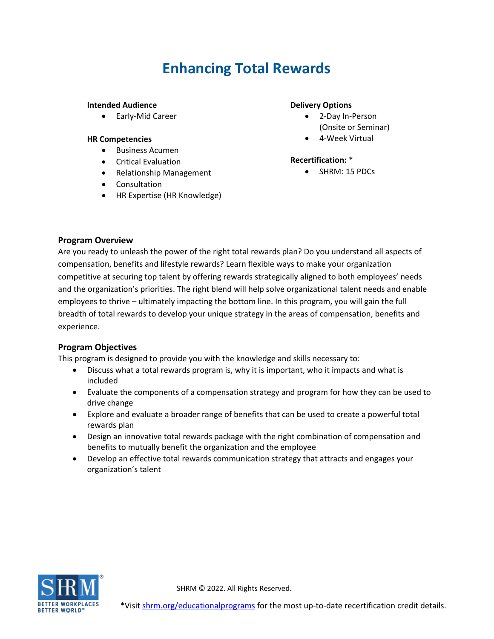# **Enhancing Total Rewards**

#### **Intended Audience**

• Early-Mid Career

#### **HR Competencies**

- Business Acumen
- Critical Evaluation
- Relationship Management
- Consultation
- HR Expertise (HR Knowledge)

#### **Delivery Options**

- 2-Day In-Person (Onsite or Seminar)
- 4-Week Virtual

#### **Recertification:** \*

• SHRM: 15 PDCs

## **Program Overview**

Are you ready to unleash the power of the right total rewards plan? Do you understand all aspects of compensation, benefits and lifestyle rewards? Learn flexible ways to make your organization competitive at securing top talent by offering rewards strategically aligned to both employees' needs and the organization's priorities. The right blend will help solve organizational talent needs and enable employees to thrive – ultimately impacting the bottom line. In this program, you will gain the full breadth of total rewards to develop your unique strategy in the areas of compensation, benefits and experience.

## **Program Objectives**

This program is designed to provide you with the knowledge and skills necessary to:

- Discuss what a total rewards program is, why it is important, who it impacts and what is included
- Evaluate the components of a compensation strategy and program for how they can be used to drive change
- Explore and evaluate a broader range of benefits that can be used to create a powerful total rewards plan
- Design an innovative total rewards package with the right combination of compensation and benefits to mutually benefit the organization and the employee
- Develop an effective total rewards communication strategy that attracts and engages your organization's talent